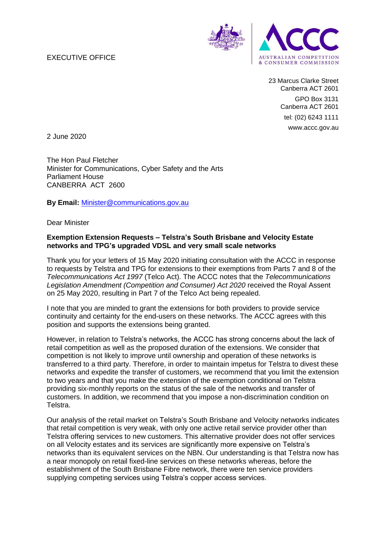## EXECUTIVE OFFICE



23 Marcus Clarke Street Canberra ACT 2601 GPO Box 3131 Canberra ACT 2601 tel: (02) 6243 1111 www.accc.gov.au

2 June 2020

The Hon Paul Fletcher Minister for Communications, Cyber Safety and the Arts Parliament House CANBERRA ACT 2600

**By Email:** Minister@communications.gov.au

Dear Minister

## **Exemption Extension Requests – Telstra's South Brisbane and Velocity Estate networks and TPG's upgraded VDSL and very small scale networks**

Thank you for your letters of 15 May 2020 initiating consultation with the ACCC in response to requests by Telstra and TPG for extensions to their exemptions from Parts 7 and 8 of the *Telecommunications Act 1997* (Telco Act). The ACCC notes that the *Telecommunications Legislation Amendment (Competition and Consumer) Act 2020* received the Royal Assent on 25 May 2020, resulting in Part 7 of the Telco Act being repealed.

I note that you are minded to grant the extensions for both providers to provide service continuity and certainty for the end-users on these networks. The ACCC agrees with this position and supports the extensions being granted.

However, in relation to Telstra's networks, the ACCC has strong concerns about the lack of retail competition as well as the proposed duration of the extensions. We consider that competition is not likely to improve until ownership and operation of these networks is transferred to a third party. Therefore, in order to maintain impetus for Telstra to divest these networks and expedite the transfer of customers, we recommend that you limit the extension to two years and that you make the extension of the exemption conditional on Telstra providing six-monthly reports on the status of the sale of the networks and transfer of customers. In addition, we recommend that you impose a non-discrimination condition on Telstra.

Our analysis of the retail market on Telstra's South Brisbane and Velocity networks indicates that retail competition is very weak, with only one active retail service provider other than Telstra offering services to new customers. This alternative provider does not offer services on all Velocity estates and its services are significantly more expensive on Telstra's networks than its equivalent services on the NBN. Our understanding is that Telstra now has a near monopoly on retail fixed-line services on these networks whereas, before the establishment of the South Brisbane Fibre network, there were ten service providers supplying competing services using Telstra's copper access services.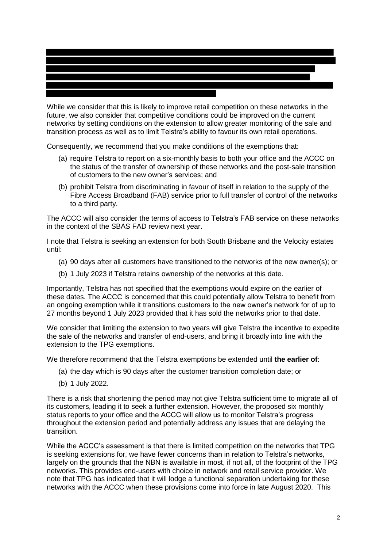

While we consider that this is likely to improve retail competition on these networks in the future, we also consider that competitive conditions could be improved on the current networks by setting conditions on the extension to allow greater monitoring of the sale and transition process as well as to limit Telstra's ability to favour its own retail operations.

Consequently, we recommend that you make conditions of the exemptions that:

- (a) require Telstra to report on a six-monthly basis to both your office and the ACCC on the status of the transfer of ownership of these networks and the post-sale transition of customers to the new owner's services; and
- (b) prohibit Telstra from discriminating in favour of itself in relation to the supply of the Fibre Access Broadband (FAB) service prior to full transfer of control of the networks to a third party.

The ACCC will also consider the terms of access to Telstra's FAB service on these networks in the context of the SBAS FAD review next year.

I note that Telstra is seeking an extension for both South Brisbane and the Velocity estates until:

- (a) 90 days after all customers have transitioned to the networks of the new owner(s); or
- (b) 1 July 2023 if Telstra retains ownership of the networks at this date.

Importantly, Telstra has not specified that the exemptions would expire on the earlier of these dates. The ACCC is concerned that this could potentially allow Telstra to benefit from an ongoing exemption while it transitions customers to the new owner's network for of up to 27 months beyond 1 July 2023 provided that it has sold the networks prior to that date.

We consider that limiting the extension to two years will give Telstra the incentive to expedite the sale of the networks and transfer of end-users, and bring it broadly into line with the extension to the TPG exemptions.

We therefore recommend that the Telstra exemptions be extended until **the earlier of**:

- (a) the day which is 90 days after the customer transition completion date; or
- (b) 1 July 2022.

There is a risk that shortening the period may not give Telstra sufficient time to migrate all of its customers, leading it to seek a further extension. However, the proposed six monthly status reports to your office and the ACCC will allow us to monitor Telstra's progress throughout the extension period and potentially address any issues that are delaying the transition.

While the ACCC's assessment is that there is limited competition on the networks that TPG is seeking extensions for, we have fewer concerns than in relation to Telstra's networks, largely on the grounds that the NBN is available in most, if not all, of the footprint of the TPG networks. This provides end-users with choice in network and retail service provider. We note that TPG has indicated that it will lodge a functional separation undertaking for these networks with the ACCC when these provisions come into force in late August 2020. This